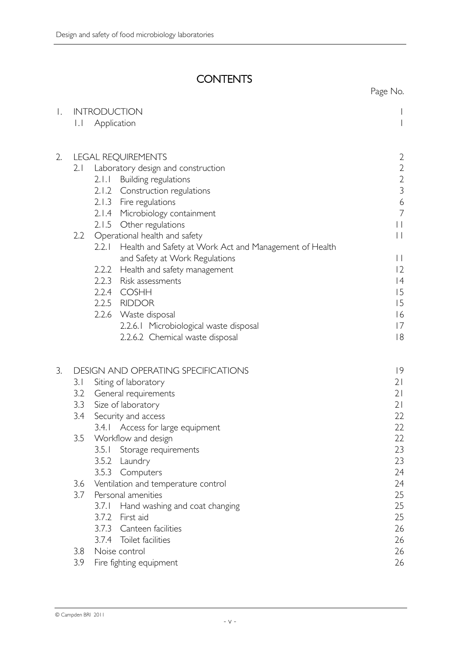## **CONTENTS**

|    |                                            |                                                                           | Page No.                                   |
|----|--------------------------------------------|---------------------------------------------------------------------------|--------------------------------------------|
| Τ. |                                            | <b>INTRODUCTION</b>                                                       |                                            |
|    | $\vert \cdot \vert$                        | Application                                                               |                                            |
| 2. |                                            | $\overline{2}$                                                            |                                            |
|    | 2.1                                        | <b>LEGAL REQUIREMENTS</b><br>Laboratory design and construction           |                                            |
|    |                                            | Building regulations<br>2.1.1                                             | $\begin{array}{c} 2 \\ 2 \\ 3 \end{array}$ |
|    |                                            | 2.1.2 Construction regulations                                            |                                            |
|    |                                            | 2.1.3 Fire regulations                                                    | $\overline{6}$                             |
|    |                                            | 2.1.4 Microbiology containment                                            | $\overline{7}$                             |
|    |                                            | 2.1.5 Other regulations                                                   | $\mathbf{L}$                               |
|    |                                            | 2.2 Operational health and safety                                         | $\vert \ \vert$                            |
|    |                                            | Health and Safety at Work Act and Management of Health<br>2.2.1           |                                            |
|    |                                            | and Safety at Work Regulations                                            | $\vert \ \vert$                            |
|    |                                            | 2.2.2 Health and safety management                                        | 12                                         |
|    |                                            | 2.2.3 Risk assessments                                                    | 4                                          |
|    |                                            | 2.2.4 COSHH                                                               | 15                                         |
|    |                                            | 2.2.5 RIDDOR                                                              | 15                                         |
|    |                                            | 2.2.6 Waste disposal                                                      | 16<br>17                                   |
|    |                                            | 2.2.6.1 Microbiological waste disposal<br>2.2.6.2 Chemical waste disposal | 8                                          |
|    |                                            |                                                                           |                                            |
| 3. | <b>DESIGN AND OPERATING SPECIFICATIONS</b> |                                                                           | 9                                          |
|    | 3.1                                        | Siting of laboratory                                                      | 21                                         |
|    | 3.2                                        | General requirements                                                      | 21<br>21                                   |
|    |                                            | 3.3<br>Size of laboratory                                                 |                                            |
|    | 3.4                                        | Security and access                                                       | 22                                         |
|    | 3.5                                        | 3.4.1 Access for large equipment<br>Workflow and design                   | 22<br>22                                   |
|    |                                            | Storage requirements<br>3.5.1                                             | 23                                         |
|    |                                            | 3.5.2<br>Laundry                                                          | 23                                         |
|    |                                            | Computers<br>3.5.3                                                        | 24                                         |
|    | 3.6                                        | Ventilation and temperature control                                       | 24                                         |
|    | 3.7                                        | Personal amenities                                                        | 25                                         |
|    |                                            | 3.7.1<br>Hand washing and coat changing                                   | 25                                         |
|    |                                            | 3.7.2<br>First aid                                                        | 25                                         |
|    |                                            | 3.7.3<br>Canteen facilities                                               | 26                                         |
|    |                                            | 3.7.4 Toilet facilities                                                   | 26                                         |
|    | 3.8                                        | Noise control                                                             | 26                                         |
|    | 3.9                                        | Fire fighting equipment                                                   | 26                                         |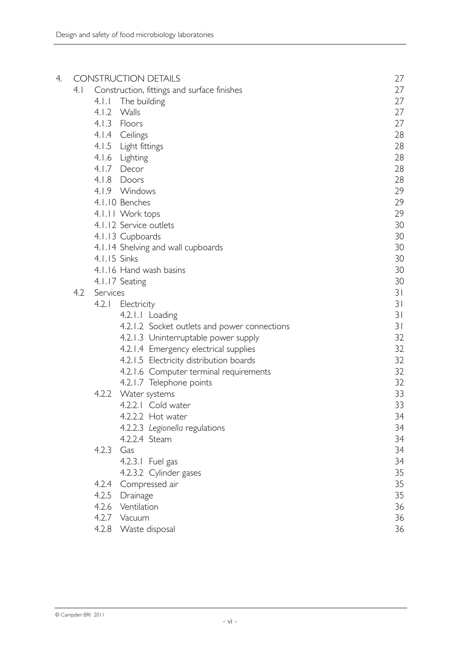| 4. |     |              | <b>CONSTRUCTION DETAILS</b>                  | 27 |
|----|-----|--------------|----------------------------------------------|----|
|    | 4.1 |              | Construction, fittings and surface finishes  | 27 |
|    |     | 4.1.1        | The building                                 | 27 |
|    |     |              | 4.1.2 Walls                                  | 27 |
|    |     |              | 4.1.3 Floors                                 | 27 |
|    |     |              | 4.1.4 Ceilings                               | 28 |
|    |     |              | 4.1.5 Light fittings                         | 28 |
|    |     |              | 4.1.6 Lighting                               | 28 |
|    |     |              | 4.1.7 Decor                                  | 28 |
|    |     |              | 4.1.8 Doors                                  | 28 |
|    |     |              | 4.1.9 Windows                                | 29 |
|    |     |              | 4.1.10 Benches                               | 29 |
|    |     |              | 4.1.11 Work tops                             | 29 |
|    |     |              | 4.1.12 Service outlets                       | 30 |
|    |     |              | 4.1.13 Cupboards                             | 30 |
|    |     |              | 4.1.14 Shelving and wall cupboards           | 30 |
|    |     | 4.1.15 Sinks |                                              | 30 |
|    |     |              | 4.1.16 Hand wash basins                      | 30 |
|    |     |              | 4.1.17 Seating                               | 30 |
|    | 4.2 | Services     |                                              | 31 |
|    |     | 4.2.1        | Electricity                                  | 31 |
|    |     |              | 4.2.1.1 Loading                              | 31 |
|    |     |              | 4.2.1.2 Socket outlets and power connections | 31 |
|    |     |              | 4.2.1.3 Uninterruptable power supply         | 32 |
|    |     |              | 4.2.1.4 Emergency electrical supplies        | 32 |
|    |     |              | 4.2.1.5 Electricity distribution boards      | 32 |
|    |     |              | 4.2.1.6 Computer terminal requirements       | 32 |
|    |     |              | 4.2.1.7 Telephone points                     | 32 |
|    |     |              | 4.2.2 Water systems                          | 33 |
|    |     |              | 4.2.2.1 Cold water                           | 33 |
|    |     |              | 4.2.2.2 Hot water                            | 34 |
|    |     |              | 4.2.2.3 Legionella regulations               | 34 |
|    |     |              | 4.2.2.4 Steam                                | 34 |
|    |     | 4.2.3        | Gas                                          | 34 |
|    |     |              | 4.2.3.1 Fuel gas                             | 34 |
|    |     |              | 4.2.3.2 Cylinder gases                       | 35 |
|    |     | 4.2.4        | Compressed air                               | 35 |
|    |     |              | 4.2.5 Drainage                               | 35 |
|    |     | 4.2.6        | Ventilation                                  | 36 |
|    |     |              | 4.2.7 Vacuum                                 | 36 |
|    |     |              | 4.2.8 Waste disposal                         | 36 |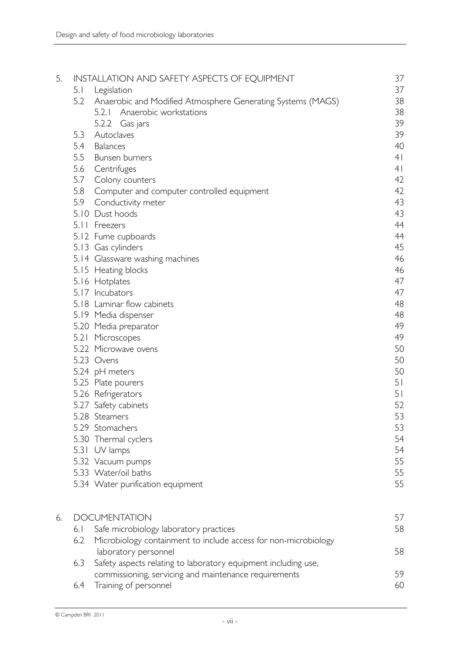| 5. | INSTALLATION AND SAFETY ASPECTS OF EQUIPMENT |                                                                 |                |  |  |  |
|----|----------------------------------------------|-----------------------------------------------------------------|----------------|--|--|--|
|    | 5.1                                          | Legislation                                                     | 37             |  |  |  |
|    | 5.2                                          | Anaerobic and Modified Atmosphere Generating Systems (MAGS)     | 38             |  |  |  |
|    |                                              | 5.2.1 Anaerobic workstations                                    | 38             |  |  |  |
|    |                                              | 5.2.2 Gas jars                                                  | 39             |  |  |  |
|    | 5.3                                          | Autoclaves                                                      | 39             |  |  |  |
|    | 5.4                                          | Balances                                                        | 40             |  |  |  |
|    | 5.5                                          | Bunsen burners                                                  | 4 <sup>1</sup> |  |  |  |
|    | 5.6                                          | Centrifuges                                                     | 4 <sup>1</sup> |  |  |  |
|    | 5.7                                          | Colony counters                                                 |                |  |  |  |
|    | 5.8                                          | Computer and computer controlled equipment                      | 42             |  |  |  |
|    | 5.9                                          | Conductivity meter                                              | 43             |  |  |  |
|    |                                              | 5.10 Dust hoods                                                 | 43             |  |  |  |
|    |                                              | 5.11 Freezers                                                   | 44             |  |  |  |
|    |                                              | 5.12 Fume cupboards                                             | 44             |  |  |  |
|    |                                              | 5.13 Gas cylinders                                              | 45             |  |  |  |
|    |                                              | 5.14 Glassware washing machines                                 | 46             |  |  |  |
|    |                                              | 5.15 Heating blocks                                             | 46             |  |  |  |
|    |                                              | 5.16 Hotplates                                                  | 47             |  |  |  |
|    |                                              | 5.17 Incubators                                                 | 47             |  |  |  |
|    |                                              | 5.18 Laminar flow cabinets                                      | 48             |  |  |  |
|    |                                              | 5.19 Media dispenser                                            | 48             |  |  |  |
|    |                                              | 5.20 Media preparator                                           | 49             |  |  |  |
|    | 5.21                                         | Microscopes                                                     | 49             |  |  |  |
|    |                                              | 5.22 Microwave ovens                                            | 50             |  |  |  |
|    |                                              | 5.23 Ovens                                                      | 50             |  |  |  |
|    |                                              | 5.24 pH meters                                                  | 50             |  |  |  |
|    |                                              | 5.25 Plate pourers                                              | 5 <sub>1</sub> |  |  |  |
|    |                                              | 5.26 Refrigerators                                              | 5 <sub>1</sub> |  |  |  |
|    |                                              | 5.27 Safety cabinets                                            | 52             |  |  |  |
|    |                                              | 5.28 Steamers                                                   | 53             |  |  |  |
|    |                                              | 5.29 Stomachers                                                 | 53             |  |  |  |
|    |                                              | 5.30 Thermal cyclers                                            | 54             |  |  |  |
|    | 5.31                                         | UV lamps                                                        | 54             |  |  |  |
|    |                                              |                                                                 | 55             |  |  |  |
|    |                                              | 5.32 Vacuum pumps<br>5.33 Water/oil baths                       | 55             |  |  |  |
|    |                                              |                                                                 | 55             |  |  |  |
|    |                                              | 5.34 Water purification equipment                               |                |  |  |  |
| 6. | <b>DOCUMENTATION</b>                         |                                                                 |                |  |  |  |
|    | 6.1                                          | Safe microbiology laboratory practices                          | 58             |  |  |  |
|    | 6.2                                          | Microbiology containment to include access for non-microbiology |                |  |  |  |
|    |                                              | laboratory personnel                                            | 58             |  |  |  |
|    | 6.3                                          | Safety aspects relating to laboratory equipment including use,  |                |  |  |  |
|    |                                              | commissioning, servicing and maintenance requirements           | 59             |  |  |  |
|    |                                              |                                                                 |                |  |  |  |

6.4 Training of personnel 60